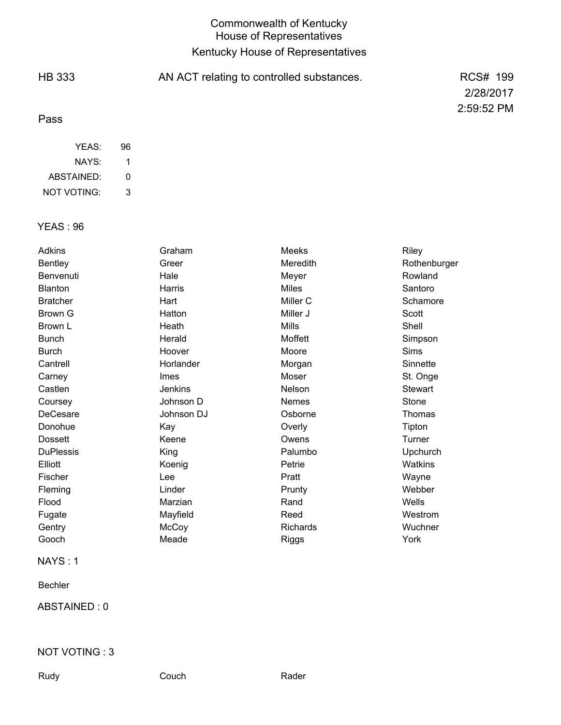## Commonwealth of Kentucky House of Representatives Kentucky House of Representatives

| <b>HB 333</b> | AN ACT relating to controlled substances. | RCS# 199   |
|---------------|-------------------------------------------|------------|
|               |                                           | 2/28/2017  |
| Pass          |                                           | 2:59:52 PM |
| YEAS:         | 96                                        |            |

| <b>YEAS: 96</b> |  |  |
|-----------------|--|--|

ABSTAINED: NOT VOTING:

NAYS:

1 0 3

| Adkins           | Graham         | <b>Meeks</b>    | Riley          |
|------------------|----------------|-----------------|----------------|
| <b>Bentley</b>   | Greer          | Meredith        | Rothenburger   |
| Benvenuti        | Hale           | Meyer           | Rowland        |
| <b>Blanton</b>   | Harris         | <b>Miles</b>    | Santoro        |
| <b>Bratcher</b>  | Hart           | Miller C        | Schamore       |
| Brown G          | Hatton         | Miller J        | Scott          |
| Brown L          | Heath          | <b>Mills</b>    | Shell          |
| <b>Bunch</b>     | Herald         | Moffett         | Simpson        |
| <b>Burch</b>     | Hoover         | Moore           | <b>Sims</b>    |
| Cantrell         | Horlander      | Morgan          | Sinnette       |
| Carney           | <b>Imes</b>    | Moser           | St. Onge       |
| Castlen          | <b>Jenkins</b> | Nelson          | <b>Stewart</b> |
| Coursey          | Johnson D      | <b>Nemes</b>    | Stone          |
| DeCesare         | Johnson DJ     | Osborne         | Thomas         |
| Donohue          | Kay            | Overly          | Tipton         |
| <b>Dossett</b>   | Keene          | Owens           | Turner         |
| <b>DuPlessis</b> | King           | Palumbo         | Upchurch       |
| Elliott          | Koenig         | Petrie          | Watkins        |
| Fischer          | Lee            | Pratt           | Wayne          |
| Fleming          | Linder         | Prunty          | Webber         |
| Flood            | Marzian        | Rand            | Wells          |
| Fugate           | Mayfield       | Reed            | Westrom        |
| Gentry           | McCoy          | <b>Richards</b> | Wuchner        |
| Gooch            | Meade          | <b>Riggs</b>    | York           |

#### NAYS : 1

Bechler

ABSTAINED : 0

#### NOT VOTING : 3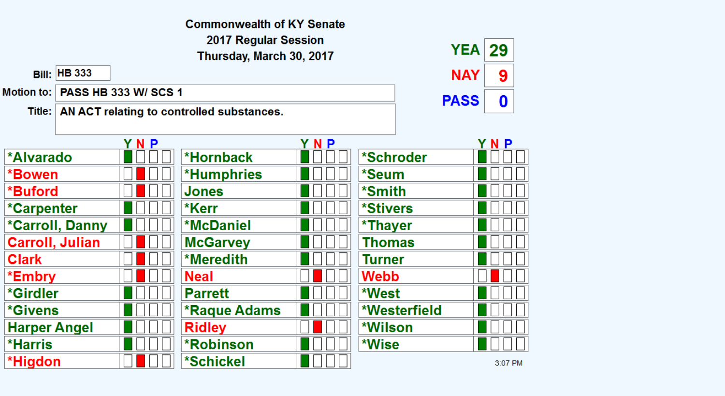|                                                  |                                                    |                             | <b>Commonwealth of KY Senate</b> |     |                        |              |             |         |  |
|--------------------------------------------------|----------------------------------------------------|-----------------------------|----------------------------------|-----|------------------------|--------------|-------------|---------|--|
| 2017 Regular Session<br>Thursday, March 30, 2017 |                                                    |                             |                                  |     |                        | <b>YEA</b>   | 29          |         |  |
|                                                  | <b>Bill: HB 333</b>                                |                             |                                  |     |                        |              | <b>NAY</b>  | 9       |  |
| Motion to:                                       |                                                    | <b>PASS HB 333 W/ SCS 1</b> |                                  |     |                        |              | <b>PASS</b> | 0       |  |
|                                                  | Title:   AN ACT relating to controlled substances. |                             |                                  |     |                        |              |             |         |  |
|                                                  |                                                    | YNP                         |                                  | YNP |                        |              |             | YNP     |  |
| *Alvarado                                        |                                                    |                             | *Hornback                        |     | *Schroder              |              |             |         |  |
| *Bowen                                           |                                                    |                             | <b>*Humphries</b>                |     | *Seum                  |              |             |         |  |
| *Buford                                          |                                                    |                             | <b>Jones</b>                     |     | *Smith                 |              |             |         |  |
| <i>*</i> Carpenter                               |                                                    |                             | *Kerr                            |     | <i><b>*Stivers</b></i> |              |             |         |  |
|                                                  | *Carroll, Danny                                    |                             | <b>*McDaniel</b>                 |     | *Thayer                |              |             |         |  |
|                                                  | <b>Carroll, Julian</b>                             |                             | <b>McGarvey</b>                  |     | Thomas                 |              |             |         |  |
| <b>Clark</b>                                     |                                                    |                             | <b>*Meredith</b>                 |     | <b>Turner</b>          |              |             |         |  |
| *Embry                                           |                                                    |                             | <b>Neal</b>                      |     | Webb                   |              |             |         |  |
| *Girdler                                         |                                                    |                             | <b>Parrett</b>                   |     | *West                  |              |             |         |  |
| <i><b>*Givens</b></i>                            |                                                    |                             | <b>*Raque Adams</b>              |     |                        | *Westerfield |             |         |  |
| <b>Harper Angel</b>                              |                                                    |                             | <b>Ridley</b>                    |     | *Wilson                |              |             |         |  |
| <b>*Harris</b>                                   |                                                    |                             | <b>*Robinson</b>                 |     | *Wise                  |              |             |         |  |
| *Higdon                                          |                                                    |                             | *Schickel                        |     |                        |              |             | 3:07 PM |  |